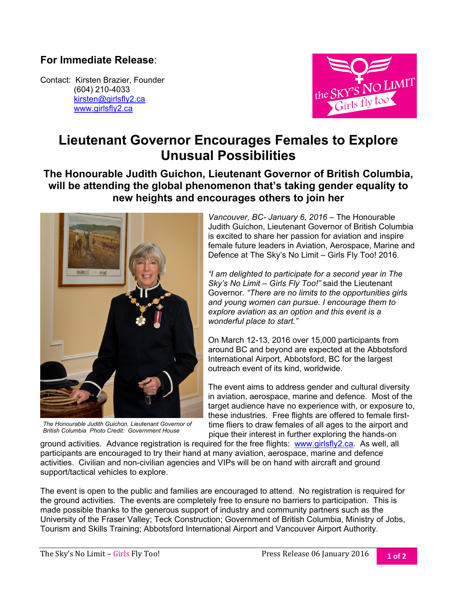## **For Immediate Release**:

Contact: Kirsten Brazier, Founder (604) 210-4033 kirsten@girlsfly2.ca www.girlsfly2.ca



## **Lieutenant Governor Encourages Females to Explore Unusual Possibilities**

## **The Honourable Judith Guichon, Lieutenant Governor of British Columbia, will be attending the global phenomenon that's taking gender equality to new heights and encourages others to join her**



*The Honourable Judith Guichon, Lieutenant Governor of British Columbia Photo Credit: Government House* 

*Vancouver, BC- January 6, 2016 –* The Honourable Judith Guichon, Lieutenant Governor of British Columbia is excited to share her passion for aviation and inspire female future leaders in Aviation, Aerospace, Marine and Defence at The Sky's No Limit – Girls Fly Too! 2016.

*"I am delighted to participate for a second year in The Sky's No Limit – Girls Fly Too!"* said the Lieutenant Governor. *"There are no limits to the opportunities girls and young women can pursue. I encourage them to explore aviation as an option and this event is a wonderful place to start."* 

On March 12-13, 2016 over 15,000 participants from around BC and beyond are expected at the Abbotsford International Airport, Abbotsford, BC for the largest outreach event of its kind, worldwide.

The event aims to address gender and cultural diversity in aviation, aerospace, marine and defence. Most of the target audience have no experience with, or exposure to, these industries. Free flights are offered to female firsttime fliers to draw females of all ages to the airport and pique their interest in further exploring the hands-on

ground activities. Advance registration is required for the free flights: www.girlsfly2.ca. As well, all participants are encouraged to try their hand at many aviation, aerospace, marine and defence activities. Civilian and non-civilian agencies and VIPs will be on hand with aircraft and ground support/tactical vehicles to explore.

The event is open to the public and families are encouraged to attend. No registration is required for the ground activities. The events are completely free to ensure no barriers to participation. This is made possible thanks to the generous support of industry and community partners such as the University of the Fraser Valley; Teck Construction; Government of British Columbia, Ministry of Jobs, Tourism and Skills Training; Abbotsford International Airport and Vancouver Airport Authority.